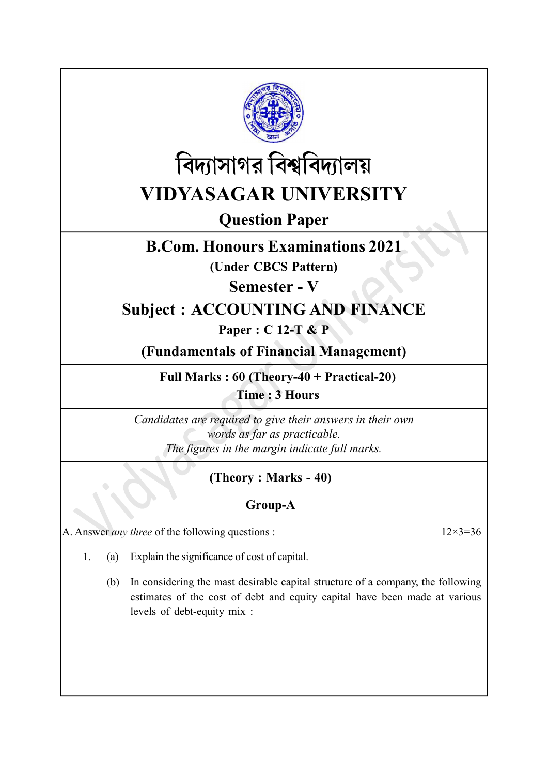



Question Paper

## B.Com. Honours Examinations 2021

(Under CBCS Pattern)

Semester - V

## Subject : ACCOUNTING AND FINANCE

Paper : C 12-T & P

(Fundamentals of Financial Management)

Full Marks : 60 (Theory-40 + Practical-20) Time : 3 Hours

Candidates are required to give their answers in their own words as far as practicable. The figures in the margin indicate full marks.

## (Theory : Marks - 40)

## Group-A

A. Answer *any three* of the following questions :  $12 \times 3 = 36$ 

- 1. (a) Explain the significance of cost of capital.
	- (b) In considering the mast desirable capital structure of a company, the following estimates of the cost of debt and equity capital have been made at various levels of debt-equity mix :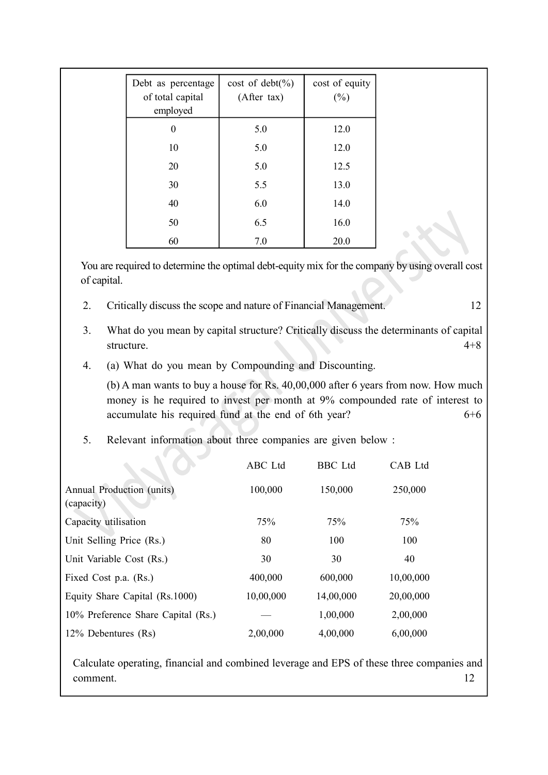| Debt as percentage           | $cost of debt(\%)$ | cost of equity |
|------------------------------|--------------------|----------------|
| of total capital<br>employed | (After tax)        | $(\%)$         |
| $\boldsymbol{0}$             | 5.0                | 12.0           |
| 10                           | 5.0                | 12.0           |
| 20                           | 5.0                | 12.5           |
| 30                           | 5.5                | 13.0           |
| 40                           | 6.0                | 14.0           |
| 50                           | 6.5                | 16.0           |
| 60                           | 7.0                | 20.0           |

You are required to determine the optimal debt-equity mix for the company by using overall cost of capital.

- 2. Critically discuss the scope and nature of Financial Management. 12
- 3. What do you mean by capital structure? Critically discuss the determinants of capital structure. 4+8
- 4. (a) What do you mean by Compounding and Discounting.

(b) A man wants to buy a house for Rs. 40,00,000 after 6 years from now. How much money is he required to invest per month at 9% compounded rate of interest to accumulate his required fund at the end of 6th year? 6+6

5. Relevant information about three companies are given below :

|                                         | ABC Ltd   | <b>BBC</b> Ltd | CAB Ltd   |
|-----------------------------------------|-----------|----------------|-----------|
| Annual Production (units)<br>(capacity) | 100,000   | 150,000        | 250,000   |
| Capacity utilisation                    | 75%       | 75%            | 75%       |
| Unit Selling Price (Rs.)                | 80        | 100            | 100       |
| Unit Variable Cost (Rs.)                | 30        | 30             | 40        |
| Fixed Cost p.a. (Rs.)                   | 400,000   | 600,000        | 10,00,000 |
| Equity Share Capital (Rs.1000)          | 10,00,000 | 14,00,000      | 20,00,000 |
| 10% Preference Share Capital (Rs.)      |           | 1,00,000       | 2,00,000  |
| 12% Debentures (Rs)                     | 2,00,000  | 4,00,000       | 6,00,000  |

Calculate operating, financial and combined leverage and EPS of these three companies and comment. 12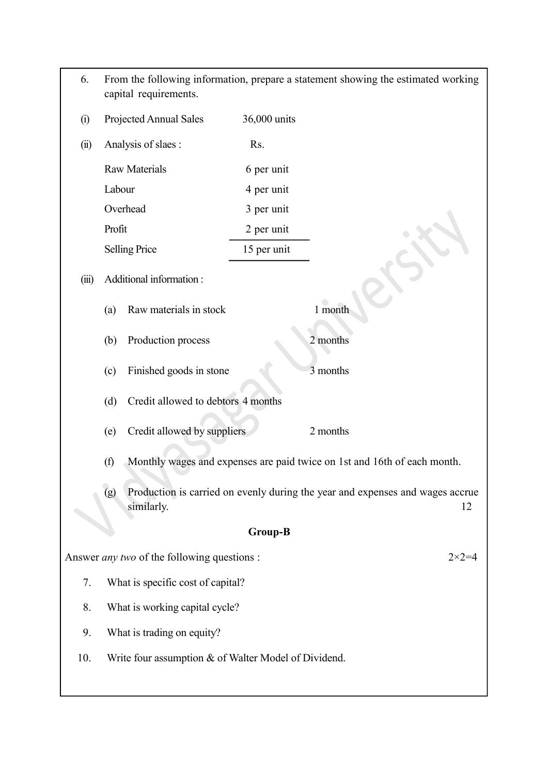| 6.                                                          |                                | capital requirements.                              |                | From the following information, prepare a statement showing the estimated working   |  |  |
|-------------------------------------------------------------|--------------------------------|----------------------------------------------------|----------------|-------------------------------------------------------------------------------------|--|--|
| (i)                                                         |                                | Projected Annual Sales                             | 36,000 units   |                                                                                     |  |  |
| (ii)                                                        |                                | Analysis of slaes :                                | Rs.            |                                                                                     |  |  |
|                                                             |                                | <b>Raw Materials</b>                               | 6 per unit     |                                                                                     |  |  |
|                                                             | Labour                         |                                                    | 4 per unit     |                                                                                     |  |  |
|                                                             | Overhead                       |                                                    | 3 per unit     |                                                                                     |  |  |
|                                                             | Profit                         |                                                    | 2 per unit     |                                                                                     |  |  |
|                                                             |                                | <b>Selling Price</b>                               | 15 per unit    |                                                                                     |  |  |
| (iii)                                                       |                                | Additional information:                            |                |                                                                                     |  |  |
|                                                             | (a)                            | Raw materials in stock                             |                | 1 month                                                                             |  |  |
|                                                             | (b)                            | Production process                                 |                | 2 months                                                                            |  |  |
|                                                             | (c)                            | Finished goods in stone                            |                | 3 months                                                                            |  |  |
|                                                             | (d)                            | Credit allowed to debtors 4 months                 |                |                                                                                     |  |  |
|                                                             | (e)                            | Credit allowed by suppliers                        |                | 2 months                                                                            |  |  |
|                                                             | (f)                            |                                                    |                | Monthly wages and expenses are paid twice on 1st and 16th of each month.            |  |  |
|                                                             | (g)                            | similarly.                                         |                | Production is carried on evenly during the year and expenses and wages accrue<br>12 |  |  |
|                                                             |                                |                                                    | <b>Group-B</b> |                                                                                     |  |  |
|                                                             |                                | Answer <i>any two</i> of the following questions : |                | $2 \times 2 = 4$                                                                    |  |  |
| 7.                                                          |                                | What is specific cost of capital?                  |                |                                                                                     |  |  |
| 8.                                                          | What is working capital cycle? |                                                    |                |                                                                                     |  |  |
| 9.                                                          | What is trading on equity?     |                                                    |                |                                                                                     |  |  |
| 10.<br>Write four assumption & of Walter Model of Dividend. |                                |                                                    |                |                                                                                     |  |  |